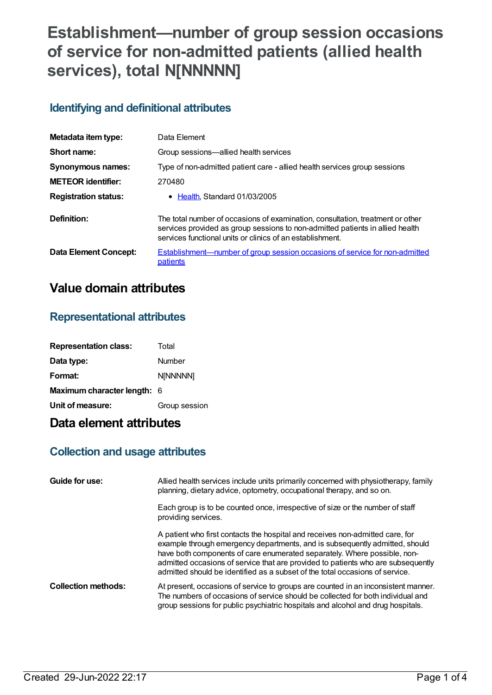# **Establishment—number of group session occasions of service for non-admitted patients (allied health services), total N[NNNNN]**

## **Identifying and definitional attributes**

| Metadata item type:          | Data Element                                                                                                                                                                                                                 |
|------------------------------|------------------------------------------------------------------------------------------------------------------------------------------------------------------------------------------------------------------------------|
| Short name:                  | Group sessions-allied health services                                                                                                                                                                                        |
| Synonymous names:            | Type of non-admitted patient care - allied health services group sessions                                                                                                                                                    |
| <b>METEOR</b> identifier:    | 270480                                                                                                                                                                                                                       |
| <b>Registration status:</b>  | • Health Standard 01/03/2005                                                                                                                                                                                                 |
| Definition:                  | The total number of occasions of examination, consultation, treatment or other<br>services provided as group sessions to non-admitted patients in allied health<br>services functional units or clinics of an establishment. |
| <b>Data Element Concept:</b> | <b>Establishment—number of group session occasions of service for non-admitted</b><br>patients                                                                                                                               |

## **Value domain attributes**

## **Representational attributes**

| <b>Representation class:</b> | Total         |
|------------------------------|---------------|
| Data type:                   | Number        |
| Format:                      | N[NNNNN]      |
| Maximum character length: 6  |               |
| Unit of measure:             | Group session |

## **Data element attributes**

## **Collection and usage attributes**

| Guide for use:             | Allied health services include units primarily concerned with physiotherapy, family<br>planning, dietary advice, optometry, occupational therapy, and so on.                                                                                                                                                                                                                                                 |
|----------------------------|--------------------------------------------------------------------------------------------------------------------------------------------------------------------------------------------------------------------------------------------------------------------------------------------------------------------------------------------------------------------------------------------------------------|
|                            | Each group is to be counted once, irrespective of size or the number of staff<br>providing services.                                                                                                                                                                                                                                                                                                         |
|                            | A patient who first contacts the hospital and receives non-admitted care, for<br>example through emergency departments, and is subsequently admitted, should<br>have both components of care enumerated separately. Where possible, non-<br>admitted occasions of service that are provided to patients who are subsequently<br>admitted should be identified as a subset of the total occasions of service. |
| <b>Collection methods:</b> | At present, occasions of service to groups are counted in an inconsistent manner.<br>The numbers of occasions of service should be collected for both individual and<br>group sessions for public psychiatric hospitals and alcohol and drug hospitals.                                                                                                                                                      |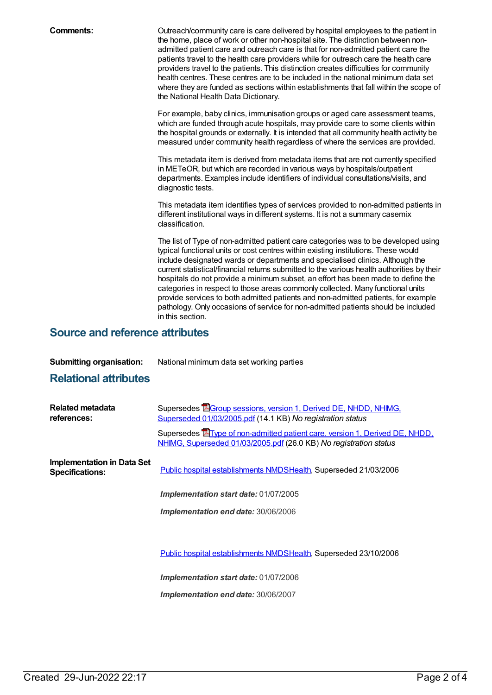**Comments:** Outreach/community care is care delivered by hospital employees to the patient in the home, place of work or other non-hospital site. The distinction between nonadmitted patient care and outreach care is that for non-admitted patient care the patients travel to the health care providers while for outreach care the health care providers travel to the patients. This distinction creates difficulties for community health centres. These centres are to be included in the national minimum data set where they are funded as sections within establishments that fall within the scope of the National Health Data Dictionary.

> For example, baby clinics, immunisation groups or aged care assessment teams, which are funded through acute hospitals, may provide care to some clients within the hospital grounds or externally. It is intended that all community health activity be measured under community health regardless of where the services are provided.

> This metadata item is derived from metadata items that are not currently specified in METeOR, but which are recorded in various ways by hospitals/outpatient departments. Examples include identifiers of individual consultations/visits, and diagnostic tests.

This metadata item identifies types of services provided to non-admitted patients in different institutional ways in different systems. It is not a summary casemix classification.

The list of Type of non-admitted patient care categories was to be developed using typical functional units or cost centres within existing institutions. These would include designated wards or departments and specialised clinics. Although the current statistical/financial returns submitted to the various health authorities by their hospitals do not provide a minimum subset, an effort has been made to define the categories in respect to those areas commonly collected. Many functional units provide services to both admitted patients and non-admitted patients, for example pathology. Only occasions of service for non-admitted patients should be included in this section.

### **Source and reference attributes**

**Submitting organisation:** National minimum data set working parties

### **Relational attributes**

| Related metadata<br>references:                             | Supersedes <b>EGroup sessions, version 1, Derived DE, NHDD, NHIMG,</b><br>Superseded 01/03/2005.pdf (14.1 KB) No registration status                     |
|-------------------------------------------------------------|----------------------------------------------------------------------------------------------------------------------------------------------------------|
|                                                             | Supersedes <b>E</b> Type of non-admitted patient care, version 1, Derived DE, NHDD,<br>NHIMG, Superseded 01/03/2005.pdf (26.0 KB) No registration status |
| <b>Implementation in Data Set</b><br><b>Specifications:</b> | Public hospital establishments NMDSHealth, Superseded 21/03/2006                                                                                         |
|                                                             | Implementation start date: 01/07/2005                                                                                                                    |
|                                                             | Implementation end date: 30/06/2006                                                                                                                      |
|                                                             |                                                                                                                                                          |
|                                                             | Public hospital establishments NMDSHealth, Superseded 23/10/2006                                                                                         |
|                                                             |                                                                                                                                                          |

*Implementation start date:* 01/07/2006

*Implementation end date:* 30/06/2007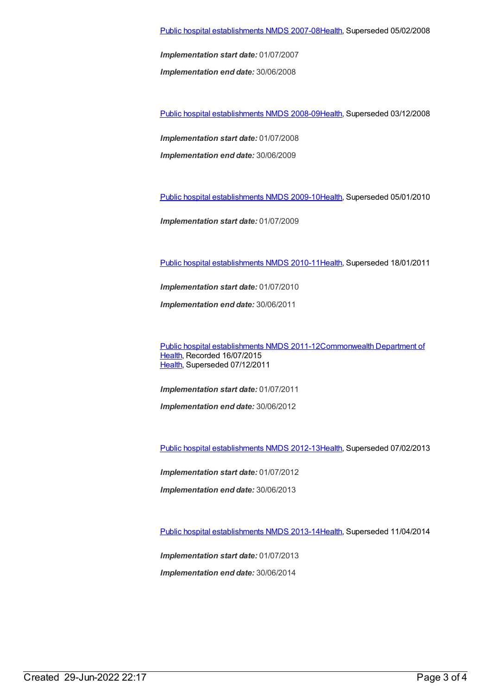*Implementation start date:* 01/07/2007

*Implementation end date:* 30/06/2008

Public hospital [establishments](https://meteor.aihw.gov.au/content/362302) NMDS 2008-09[Health](https://meteor.aihw.gov.au/RegistrationAuthority/12), Superseded 03/12/2008

*Implementation start date:* 01/07/2008

*Implementation end date:* 30/06/2009

Public hospital [establishments](https://meteor.aihw.gov.au/content/374924) NMDS 2009-10[Health](https://meteor.aihw.gov.au/RegistrationAuthority/12), Superseded 05/01/2010

*Implementation start date:* 01/07/2009

Public hospital [establishments](https://meteor.aihw.gov.au/content/386794) NMDS 2010-11[Health](https://meteor.aihw.gov.au/RegistrationAuthority/12), Superseded 18/01/2011

*Implementation start date:* 01/07/2010

*Implementation end date:* 30/06/2011

Public hospital [establishments](https://meteor.aihw.gov.au/content/426900) NMDS [2011-12Commonwealth](https://meteor.aihw.gov.au/RegistrationAuthority/10) Department of Health, Recorded 16/07/2015 [Health](https://meteor.aihw.gov.au/RegistrationAuthority/12), Superseded 07/12/2011

*Implementation start date:* 01/07/2011 *Implementation end date:* 30/06/2012

Public hospital [establishments](https://meteor.aihw.gov.au/content/470656) NMDS 2012-13[Health](https://meteor.aihw.gov.au/RegistrationAuthority/12), Superseded 07/02/2013

*Implementation start date:* 01/07/2012

*Implementation end date:* 30/06/2013

Public hospital [establishments](https://meteor.aihw.gov.au/content/504279) NMDS 2013-14[Health](https://meteor.aihw.gov.au/RegistrationAuthority/12), Superseded 11/04/2014

*Implementation start date:* 01/07/2013 *Implementation end date:* 30/06/2014